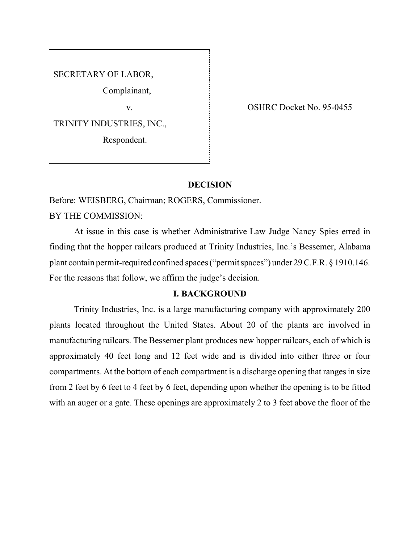SECRETARY OF LABOR,

Complainant,

TRINITY INDUSTRIES, INC.,

Respondent.

v. SHRC Docket No. 95-0455

# **DECISION**

Before: WEISBERG, Chairman; ROGERS, Commissioner. BY THE COMMISSION:

At issue in this case is whether Administrative Law Judge Nancy Spies erred in finding that the hopper railcars produced at Trinity Industries, Inc.'s Bessemer, Alabama plant contain permit-required confined spaces ("permit spaces") under 29 C.F.R. § 1910.146. For the reasons that follow, we affirm the judge's decision.

# **I. BACKGROUND**

Trinity Industries, Inc. is a large manufacturing company with approximately 200 plants located throughout the United States. About 20 of the plants are involved in manufacturing railcars. The Bessemer plant produces new hopper railcars, each of which is approximately 40 feet long and 12 feet wide and is divided into either three or four compartments. At the bottom of each compartment is a discharge opening that ranges in size from 2 feet by 6 feet to 4 feet by 6 feet, depending upon whether the opening is to be fitted with an auger or a gate. These openings are approximately 2 to 3 feet above the floor of the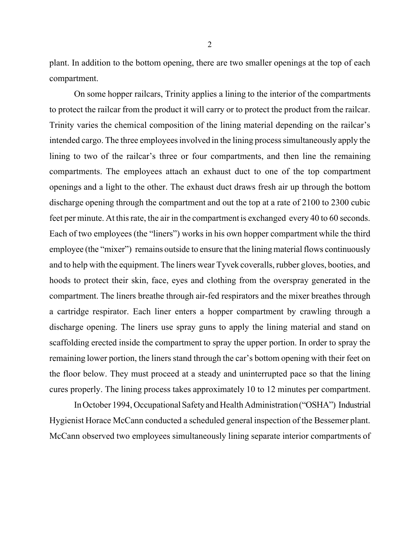plant. In addition to the bottom opening, there are two smaller openings at the top of each compartment.

On some hopper railcars, Trinity applies a lining to the interior of the compartments to protect the railcar from the product it will carry or to protect the product from the railcar. Trinity varies the chemical composition of the lining material depending on the railcar's intended cargo. The three employees involved in the lining process simultaneously apply the lining to two of the railcar's three or four compartments, and then line the remaining compartments. The employees attach an exhaust duct to one of the top compartment openings and a light to the other. The exhaust duct draws fresh air up through the bottom discharge opening through the compartment and out the top at a rate of 2100 to 2300 cubic feet per minute. At this rate, the air in the compartment is exchanged every 40 to 60 seconds. Each of two employees (the "liners") works in his own hopper compartment while the third employee (the "mixer") remains outside to ensure that the lining material flows continuously and to help with the equipment. The liners wear Tyvek coveralls, rubber gloves, booties, and hoods to protect their skin, face, eyes and clothing from the overspray generated in the compartment. The liners breathe through air-fed respirators and the mixer breathes through a cartridge respirator. Each liner enters a hopper compartment by crawling through a discharge opening. The liners use spray guns to apply the lining material and stand on scaffolding erected inside the compartment to spray the upper portion. In order to spray the remaining lower portion, the liners stand through the car's bottom opening with their feet on the floor below. They must proceed at a steady and uninterrupted pace so that the lining cures properly. The lining process takes approximately 10 to 12 minutes per compartment.

In October 1994, Occupational Safety and Health Administration ("OSHA") Industrial Hygienist Horace McCann conducted a scheduled general inspection of the Bessemer plant. McCann observed two employees simultaneously lining separate interior compartments of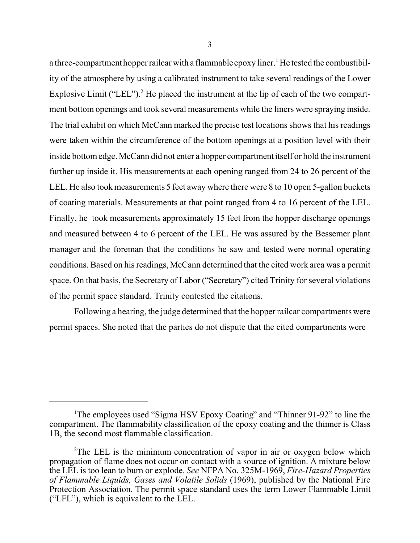a three-compartment hopper railcar with a flammable epoxy liner.<sup>1</sup> He tested the combustibility of the atmosphere by using a calibrated instrument to take several readings of the Lower Explosive Limit ("LEL").<sup>2</sup> He placed the instrument at the lip of each of the two compartment bottom openings and took several measurements while the liners were spraying inside. The trial exhibit on which McCann marked the precise test locations shows that his readings were taken within the circumference of the bottom openings at a position level with their inside bottom edge. McCann did not enter a hopper compartment itself or hold the instrument further up inside it. His measurements at each opening ranged from 24 to 26 percent of the LEL. He also took measurements 5 feet away where there were 8 to 10 open 5-gallon buckets of coating materials. Measurements at that point ranged from 4 to 16 percent of the LEL. Finally, he took measurements approximately 15 feet from the hopper discharge openings and measured between 4 to 6 percent of the LEL. He was assured by the Bessemer plant manager and the foreman that the conditions he saw and tested were normal operating conditions. Based on his readings, McCann determined that the cited work area was a permit space. On that basis, the Secretary of Labor ("Secretary") cited Trinity for several violations of the permit space standard. Trinity contested the citations.

Following a hearing, the judge determined that the hopper railcar compartments were permit spaces. She noted that the parties do not dispute that the cited compartments were

<sup>&</sup>lt;sup>1</sup>The employees used "Sigma HSV Epoxy Coating" and "Thinner 91-92" to line the compartment. The flammability classification of the epoxy coating and the thinner is Class 1B, the second most flammable classification.

<sup>&</sup>lt;sup>2</sup>The LEL is the minimum concentration of vapor in air or oxygen below which propagation of flame does not occur on contact with a source of ignition. A mixture below the LEL is too lean to burn or explode. *See* NFPA No. 325M-1969, *Fire-Hazard Properties of Flammable Liquids, Gases and Volatile Solids* (1969), published by the National Fire Protection Association. The permit space standard uses the term Lower Flammable Limit ("LFL"), which is equivalent to the LEL.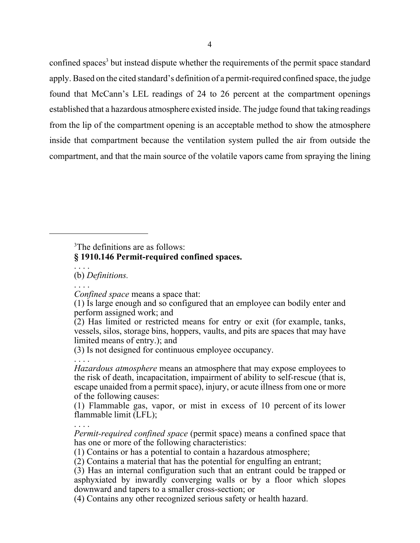confined spaces<sup>3</sup> but instead dispute whether the requirements of the permit space standard apply. Based on the cited standard's definition of a permit-required confined space, the judge found that McCann's LEL readings of 24 to 26 percent at the compartment openings established that a hazardous atmosphere existed inside. The judge found that taking readings from the lip of the compartment opening is an acceptable method to show the atmosphere inside that compartment because the ventilation system pulled the air from outside the compartment, and that the main source of the volatile vapors came from spraying the lining

<sup>3</sup>The definitions are as follows:

# **§ 1910.146 Permit-required confined spaces.**

. . . . (b) *Definitions.*

. . . .

 *Confined space* means a space that:

(3) Is not designed for continuous employee occupancy.

. . . . *Hazardous atmosphere* means an atmosphere that may expose employees to the risk of death, incapacitation, impairment of ability to self-rescue (that is, escape unaided from a permit space), injury, or acute illness from one or more of the following causes:

 (1) Flammable gas, vapor, or mist in excess of 10 percent of its lower flammable limit (LFL);

. . . .  *Permit-required confined space* (permit space) means a confined space that

has one or more of the following characteristics:

(1) Contains or has a potential to contain a hazardous atmosphere;

(2) Contains a material that has the potential for engulfing an entrant;

 (3) Has an internal configuration such that an entrant could be trapped or asphyxiated by inwardly converging walls or by a floor which slopes downward and tapers to a smaller cross-section; or

(4) Contains any other recognized serious safety or health hazard.

 <sup>(1)</sup> Is large enough and so configured that an employee can bodily enter and perform assigned work; and

 $(2)$  Has limited or restricted means for entry or exit (for example, tanks, vessels, silos, storage bins, hoppers, vaults, and pits are spaces that may have limited means of entry.); and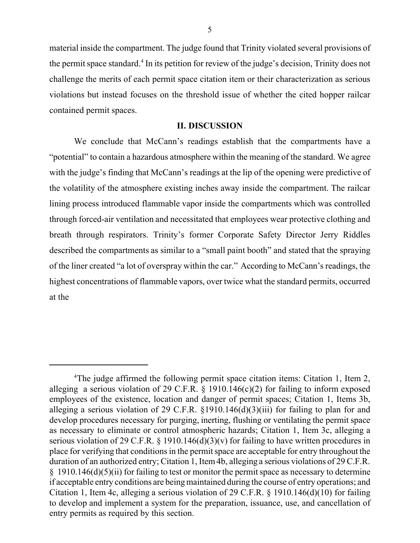material inside the compartment. The judge found that Trinity violated several provisions of the permit space standard.<sup>4</sup> In its petition for review of the judge's decision, Trinity does not challenge the merits of each permit space citation item or their characterization as serious violations but instead focuses on the threshold issue of whether the cited hopper railcar contained permit spaces.

# **II. DISCUSSION**

We conclude that McCann's readings establish that the compartments have a "potential" to contain a hazardous atmosphere within the meaning of the standard. We agree with the judge's finding that McCann's readings at the lip of the opening were predictive of the volatility of the atmosphere existing inches away inside the compartment. The railcar lining process introduced flammable vapor inside the compartments which was controlled through forced-air ventilation and necessitated that employees wear protective clothing and breath through respirators. Trinity's former Corporate Safety Director Jerry Riddles described the compartments as similar to a "small paint booth" and stated that the spraying of the liner created "a lot of overspray within the car." According to McCann's readings, the highest concentrations of flammable vapors, over twice what the standard permits, occurred at the

<sup>&</sup>lt;sup>4</sup>The judge affirmed the following permit space citation items: Citation 1, Item 2, alleging a serious violation of 29 C.F.R.  $\S$  1910.146(c)(2) for failing to inform exposed employees of the existence, location and danger of permit spaces; Citation 1, Items 3b, alleging a serious violation of 29 C.F.R. §1910.146(d)(3)(iii) for failing to plan for and develop procedures necessary for purging, inerting, flushing or ventilating the permit space as necessary to eliminate or control atmospheric hazards; Citation 1, Item 3c, alleging a serious violation of 29 C.F.R.  $\S$  1910.146(d)(3)(v) for failing to have written procedures in place for verifying that conditions in the permit space are acceptable for entry throughout the duration of an authorized entry; Citation 1, Item 4b, alleging a serious violations of 29 C.F.R.  $§$  1910.146(d)(5)(ii) for failing to test or monitor the permit space as necessary to determine if acceptable entry conditions are being maintained during the course of entry operations; and Citation 1, Item 4c, alleging a serious violation of 29 C.F.R. § 1910.146(d)(10) for failing to develop and implement a system for the preparation, issuance, use, and cancellation of entry permits as required by this section.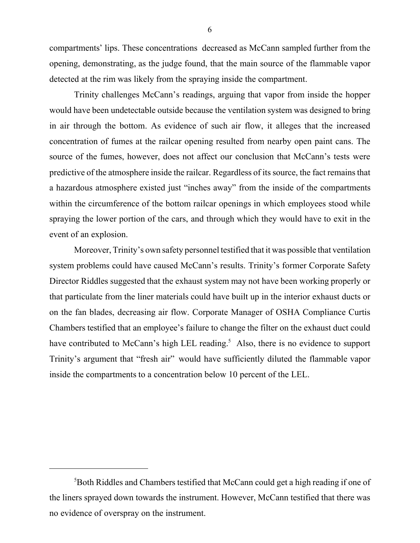compartments' lips. These concentrations decreased as McCann sampled further from the opening, demonstrating, as the judge found, that the main source of the flammable vapor detected at the rim was likely from the spraying inside the compartment.

Trinity challenges McCann's readings, arguing that vapor from inside the hopper would have been undetectable outside because the ventilation system was designed to bring in air through the bottom. As evidence of such air flow, it alleges that the increased concentration of fumes at the railcar opening resulted from nearby open paint cans. The source of the fumes, however, does not affect our conclusion that McCann's tests were predictive of the atmosphere inside the railcar. Regardless of its source, the fact remains that a hazardous atmosphere existed just "inches away" from the inside of the compartments within the circumference of the bottom railcar openings in which employees stood while spraying the lower portion of the cars, and through which they would have to exit in the event of an explosion.

Moreover, Trinity's own safety personnel testified that it was possible that ventilation system problems could have caused McCann's results. Trinity's former Corporate Safety Director Riddles suggested that the exhaust system may not have been working properly or that particulate from the liner materials could have built up in the interior exhaust ducts or on the fan blades, decreasing air flow. Corporate Manager of OSHA Compliance Curtis Chambers testified that an employee's failure to change the filter on the exhaust duct could have contributed to McCann's high LEL reading.<sup>5</sup> Also, there is no evidence to support Trinity's argument that "fresh air" would have sufficiently diluted the flammable vapor inside the compartments to a concentration below 10 percent of the LEL.

6

<sup>&</sup>lt;sup>5</sup>Both Riddles and Chambers testified that McCann could get a high reading if one of the liners sprayed down towards the instrument. However, McCann testified that there was no evidence of overspray on the instrument.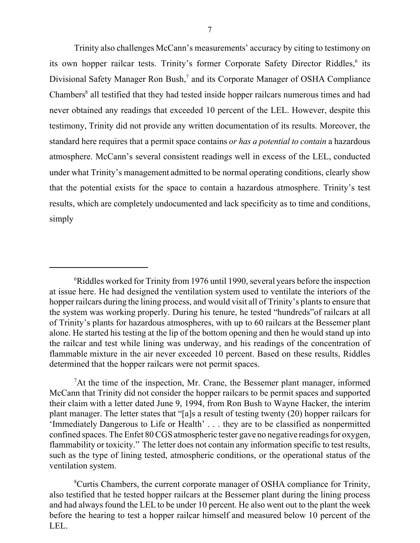Trinity also challenges McCann's measurements' accuracy by citing to testimony on its own hopper railcar tests. Trinity's former Corporate Safety Director Riddles,<sup>6</sup> its Divisional Safety Manager Ron Bush,<sup>7</sup> and its Corporate Manager of OSHA Compliance Chambers<sup>8</sup> all testified that they had tested inside hopper railcars numerous times and had never obtained any readings that exceeded 10 percent of the LEL. However, despite this testimony, Trinity did not provide any written documentation of its results. Moreover, the standard here requires that a permit space contains *or has a potential to contain* a hazardous atmosphere. McCann's several consistent readings well in excess of the LEL, conducted under what Trinity's management admitted to be normal operating conditions, clearly show that the potential exists for the space to contain a hazardous atmosphere. Trinity's test results, which are completely undocumented and lack specificity as to time and conditions, simply

<sup>&</sup>lt;sup>6</sup>Riddles worked for Trinity from 1976 until 1990, several years before the inspection at issue here. He had designed the ventilation system used to ventilate the interiors of the hopper railcars during the lining process, and would visit all of Trinity's plants to ensure that the system was working properly. During his tenure, he tested "hundreds"of railcars at all of Trinity's plants for hazardous atmospheres, with up to 60 railcars at the Bessemer plant alone. He started his testing at the lip of the bottom opening and then he would stand up into the railcar and test while lining was underway, and his readings of the concentration of flammable mixture in the air never exceeded 10 percent. Based on these results, Riddles determined that the hopper railcars were not permit spaces.

<sup>&</sup>lt;sup>7</sup>At the time of the inspection, Mr. Crane, the Bessemer plant manager, informed McCann that Trinity did not consider the hopper railcars to be permit spaces and supported their claim with a letter dated June 9, 1994, from Ron Bush to Wayne Hacker, the interim plant manager. The letter states that "[a]s a result of testing twenty (20) hopper railcars for 'Immediately Dangerous to Life or Health' . . . they are to be classified as nonpermitted confined spaces. The Enfet 80 CGS atmospheric tester gave no negative readings for oxygen, flammability or toxicity." The letter does not contain any information specific to test results, such as the type of lining tested, atmospheric conditions, or the operational status of the ventilation system.

<sup>8</sup>Curtis Chambers, the current corporate manager of OSHA compliance for Trinity, also testified that he tested hopper railcars at the Bessemer plant during the lining process and had always found the LEL to be under 10 percent. He also went out to the plant the week before the hearing to test a hopper railcar himself and measured below 10 percent of the LEL.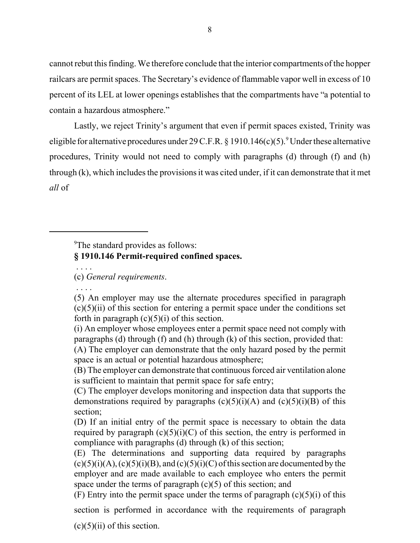cannot rebut this finding. We therefore conclude that the interior compartments of the hopper railcars are permit spaces. The Secretary's evidence of flammable vapor well in excess of 10 percent of its LEL at lower openings establishes that the compartments have "a potential to contain a hazardous atmosphere."

Lastly, we reject Trinity's argument that even if permit spaces existed, Trinity was eligible for alternative procedures under 29 C.F.R. § 1910.146(c)(5). <sup>9</sup> Under these alternative procedures, Trinity would not need to comply with paragraphs (d) through (f) and (h) through (k), which includes the provisions it was cited under, if it can demonstrate that it met *all* of

<sup>9</sup>The standard provides as follows:

# **§ 1910.146 Permit-required confined spaces.**

. . . .

(c) *General requirements*.

. . . .

<sup>(5)</sup> An employer may use the alternate procedures specified in paragraph  $(c)(5)(ii)$  of this section for entering a permit space under the conditions set forth in paragraph  $(c)(5)(i)$  of this section.

<sup>(</sup>i) An employer whose employees enter a permit space need not comply with paragraphs (d) through (f) and (h) through (k) of this section, provided that:

<sup>(</sup>A) The employer can demonstrate that the only hazard posed by the permit space is an actual or potential hazardous atmosphere;

<sup>(</sup>B) The employer can demonstrate that continuous forced air ventilation alone is sufficient to maintain that permit space for safe entry;

<sup>(</sup>C) The employer develops monitoring and inspection data that supports the demonstrations required by paragraphs  $(c)(5)(i)(A)$  and  $(c)(5)(i)(B)$  of this section;

<sup>(</sup>D) If an initial entry of the permit space is necessary to obtain the data required by paragraph  $(c)(5)(i)(C)$  of this section, the entry is performed in compliance with paragraphs (d) through (k) of this section;

<sup>(</sup>E) The determinations and supporting data required by paragraphs  $(c)(5)(i)(A), (c)(5)(i)(B),$  and  $(c)(5)(i)(C)$  of this section are documented by the employer and are made available to each employee who enters the permit space under the terms of paragraph  $(c)(5)$  of this section; and

<sup>(</sup>F) Entry into the permit space under the terms of paragraph  $(c)(5)(i)$  of this

section is performed in accordance with the requirements of paragraph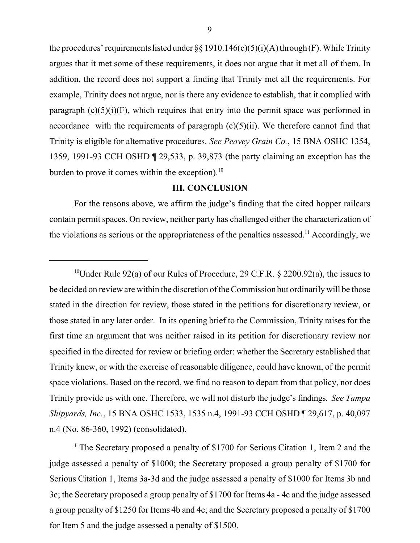the procedures' requirements listed under §§ 1910.146(c)(5)(i)(A) through (F). While Trinity argues that it met some of these requirements, it does not argue that it met all of them. In addition, the record does not support a finding that Trinity met all the requirements. For example, Trinity does not argue, nor is there any evidence to establish, that it complied with paragraph  $(c)(5)(i)(F)$ , which requires that entry into the permit space was performed in accordance with the requirements of paragraph  $(c)(5)(ii)$ . We therefore cannot find that Trinity is eligible for alternative procedures. *See Peavey Grain Co.*, 15 BNA OSHC 1354, 1359, 1991-93 CCH OSHD ¶ 29,533, p. 39,873 (the party claiming an exception has the burden to prove it comes within the exception). $^{10}$ 

## **III. CONCLUSION**

For the reasons above, we affirm the judge's finding that the cited hopper railcars contain permit spaces. On review, neither party has challenged either the characterization of the violations as serious or the appropriateness of the penalties assessed.<sup>11</sup> Accordingly, we

<sup>11</sup>The Secretary proposed a penalty of \$1700 for Serious Citation 1, Item 2 and the judge assessed a penalty of \$1000; the Secretary proposed a group penalty of \$1700 for Serious Citation 1, Items 3a-3d and the judge assessed a penalty of \$1000 for Items 3b and 3c; the Secretary proposed a group penalty of \$1700 for Items 4a - 4c and the judge assessed a group penalty of \$1250 for Items 4b and 4c; and the Secretary proposed a penalty of \$1700 for Item 5 and the judge assessed a penalty of \$1500.

<sup>&</sup>lt;sup>10</sup>Under Rule 92(a) of our Rules of Procedure, 29 C.F.R. § 2200.92(a), the issues to be decided on review are within the discretion of the Commission but ordinarily will be those stated in the direction for review, those stated in the petitions for discretionary review, or those stated in any later order. In its opening brief to the Commission, Trinity raises for the first time an argument that was neither raised in its petition for discretionary review nor specified in the directed for review or briefing order: whether the Secretary established that Trinity knew, or with the exercise of reasonable diligence, could have known, of the permit space violations. Based on the record, we find no reason to depart from that policy, nor does Trinity provide us with one. Therefore, we will not disturb the judge's findings. *See Tampa Shipyards, Inc.*, 15 BNA OSHC 1533, 1535 n.4, 1991-93 CCH OSHD ¶ 29,617, p. 40,097 n.4 (No. 86-360, 1992) (consolidated).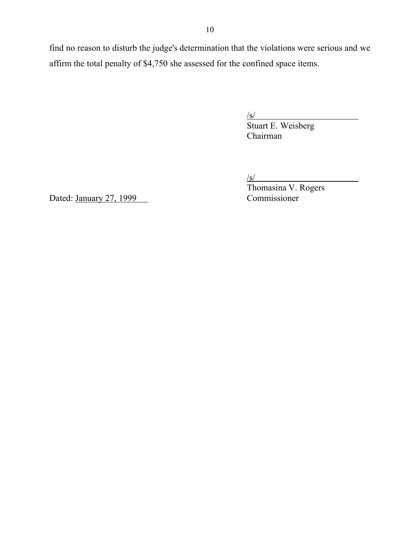find no reason to disturb the judge's determination that the violations were serious and we affirm the total penalty of \$4,750 she assessed for the confined space items.

 $\sqrt{s/2}$ 

 $\frac{\sqrt{s}}{\text{Stuart E. Weisberg}}$ Chairman

 $\sqrt{s/}$ 

Thomasina V. Rogers

Dated: January 27, 1999 Commissioner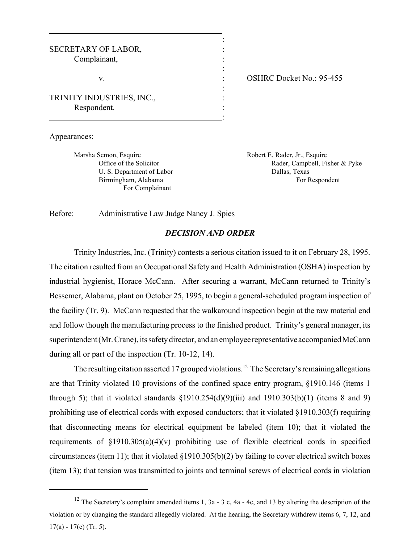| SECRETARY OF LABOR,       |  |  |
|---------------------------|--|--|
| Complainant,              |  |  |
|                           |  |  |
| V.                        |  |  |
|                           |  |  |
| TRINITY INDUSTRIES, INC., |  |  |
| Respondent.               |  |  |
|                           |  |  |

: OSHRC Docket No.: 95-455

Appearances:

Marsha Semon, Esquire **Marsha Semon, Esquire** Robert E. Rader, Jr., Esquire U. S. Department of Labor Dallas, Texas For Complainant

Office of the Solicitor **Rader, Campbell, Fisher & Pyke** Rader, Campbell, Fisher & Pyke Birmingham, Alabama For Respondent

Before: Administrative Law Judge Nancy J. Spies

### *DECISION AND ORDER*

:

:

Trinity Industries, Inc. (Trinity) contests a serious citation issued to it on February 28, 1995. The citation resulted from an Occupational Safety and Health Administration (OSHA) inspection by industrial hygienist, Horace McCann. After securing a warrant, McCann returned to Trinity's Bessemer, Alabama, plant on October 25, 1995, to begin a general-scheduled program inspection of the facility (Tr. 9). McCann requested that the walkaround inspection begin at the raw material end and follow though the manufacturing process to the finished product. Trinity's general manager, its superintendent (Mr. Crane), its safety director, and an employee representative accompanied McCann during all or part of the inspection (Tr. 10-12, 14).

The resulting citation asserted 17 grouped violations.<sup>12</sup> The Secretary's remaining allegations are that Trinity violated 10 provisions of the confined space entry program, §1910.146 (items 1 through 5); that it violated standards  $\S1910.254(d)(9)(iii)$  and  $1910.303(b)(1)$  (items 8 and 9) prohibiting use of electrical cords with exposed conductors; that it violated §1910.303(f) requiring that disconnecting means for electrical equipment be labeled (item 10); that it violated the requirements of  $\S1910.305(a)(4)(v)$  prohibiting use of flexible electrical cords in specified circumstances (item 11); that it violated §1910.305(b)(2) by failing to cover electrical switch boxes (item 13); that tension was transmitted to joints and terminal screws of electrical cords in violation

<sup>&</sup>lt;sup>12</sup> The Secretary's complaint amended items 1, 3a - 3 c, 4a - 4c, and 13 by altering the description of the violation or by changing the standard allegedly violated. At the hearing, the Secretary withdrew items 6, 7, 12, and 17(a) - 17(c) (Tr. 5).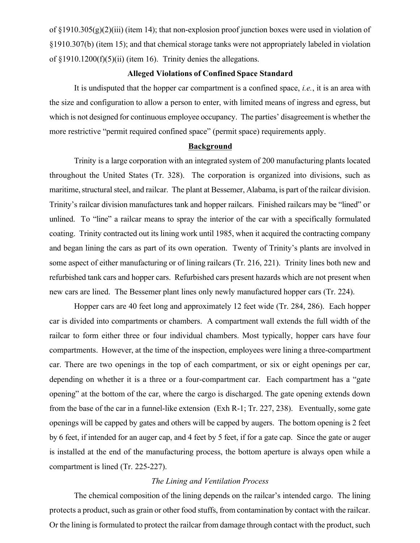of §1910.305(g)(2)(iii) (item 14); that non-explosion proof junction boxes were used in violation of §1910.307(b) (item 15); and that chemical storage tanks were not appropriately labeled in violation of §1910.1200(f)(5)(ii) (item 16). Trinity denies the allegations.

# **Alleged Violations of Confined Space Standard**

It is undisputed that the hopper car compartment is a confined space, *i.e.*, it is an area with the size and configuration to allow a person to enter, with limited means of ingress and egress, but which is not designed for continuous employee occupancy. The parties' disagreement is whether the more restrictive "permit required confined space" (permit space) requirements apply.

#### **Background**

Trinity is a large corporation with an integrated system of 200 manufacturing plants located throughout the United States (Tr. 328). The corporation is organized into divisions, such as maritime, structural steel, and railcar. The plant at Bessemer, Alabama, is part of the railcar division. Trinity's railcar division manufactures tank and hopper railcars. Finished railcars may be "lined" or unlined. To "line" a railcar means to spray the interior of the car with a specifically formulated coating. Trinity contracted out its lining work until 1985, when it acquired the contracting company and began lining the cars as part of its own operation. Twenty of Trinity's plants are involved in some aspect of either manufacturing or of lining railcars (Tr. 216, 221). Trinity lines both new and refurbished tank cars and hopper cars. Refurbished cars present hazards which are not present when new cars are lined. The Bessemer plant lines only newly manufactured hopper cars (Tr. 224).

Hopper cars are 40 feet long and approximately 12 feet wide (Tr. 284, 286). Each hopper car is divided into compartments or chambers. A compartment wall extends the full width of the railcar to form either three or four individual chambers. Most typically, hopper cars have four compartments. However, at the time of the inspection, employees were lining a three-compartment car. There are two openings in the top of each compartment, or six or eight openings per car, depending on whether it is a three or a four-compartment car. Each compartment has a "gate opening" at the bottom of the car, where the cargo is discharged. The gate opening extends down from the base of the car in a funnel-like extension (Exh R-1; Tr. 227, 238). Eventually, some gate openings will be capped by gates and others will be capped by augers. The bottom opening is 2 feet by 6 feet, if intended for an auger cap, and 4 feet by 5 feet, if for a gate cap. Since the gate or auger is installed at the end of the manufacturing process, the bottom aperture is always open while a compartment is lined (Tr. 225-227).

### *The Lining and Ventilation Process*

The chemical composition of the lining depends on the railcar's intended cargo. The lining protects a product, such as grain or other food stuffs, from contamination by contact with the railcar. Or the lining is formulated to protect the railcar from damage through contact with the product, such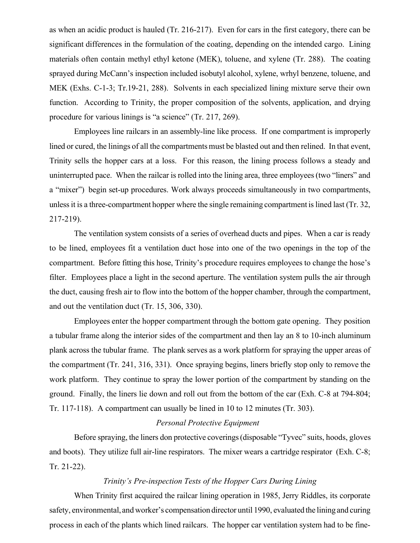as when an acidic product is hauled (Tr. 216-217). Even for cars in the first category, there can be significant differences in the formulation of the coating, depending on the intended cargo. Lining materials often contain methyl ethyl ketone (MEK), toluene, and xylene (Tr. 288). The coating sprayed during McCann's inspection included isobutyl alcohol, xylene, wrhyl benzene, toluene, and MEK (Exhs. C-1-3; Tr.19-21, 288). Solvents in each specialized lining mixture serve their own function. According to Trinity, the proper composition of the solvents, application, and drying procedure for various linings is "a science" (Tr. 217, 269).

Employees line railcars in an assembly-line like process. If one compartment is improperly lined or cured, the linings of all the compartments must be blasted out and then relined. In that event, Trinity sells the hopper cars at a loss. For this reason, the lining process follows a steady and uninterrupted pace. When the railcar is rolled into the lining area, three employees (two "liners" and a "mixer") begin set-up procedures. Work always proceeds simultaneously in two compartments, unless it is a three-compartment hopper where the single remaining compartment is lined last (Tr. 32, 217-219).

The ventilation system consists of a series of overhead ducts and pipes. When a car is ready to be lined, employees fit a ventilation duct hose into one of the two openings in the top of the compartment. Before fitting this hose, Trinity's procedure requires employees to change the hose's filter. Employees place a light in the second aperture. The ventilation system pulls the air through the duct, causing fresh air to flow into the bottom of the hopper chamber, through the compartment, and out the ventilation duct (Tr. 15, 306, 330).

Employees enter the hopper compartment through the bottom gate opening. They position a tubular frame along the interior sides of the compartment and then lay an 8 to 10-inch aluminum plank across the tubular frame. The plank serves as a work platform for spraying the upper areas of the compartment (Tr. 241, 316, 331). Once spraying begins, liners briefly stop only to remove the work platform. They continue to spray the lower portion of the compartment by standing on the ground. Finally, the liners lie down and roll out from the bottom of the car (Exh. C-8 at 794-804; Tr. 117-118). A compartment can usually be lined in 10 to 12 minutes (Tr. 303).

# *Personal Protective Equipment*

Before spraying, the liners don protective coverings (disposable "Tyvec" suits, hoods, gloves and boots). They utilize full air-line respirators. The mixer wears a cartridge respirator (Exh. C-8; Tr. 21-22).

# *Trinity's Pre-inspection Tests of the Hopper Cars During Lining*

When Trinity first acquired the railcar lining operation in 1985, Jerry Riddles, its corporate safety, environmental, and worker's compensation director until 1990, evaluated the lining and curing process in each of the plants which lined railcars. The hopper car ventilation system had to be fine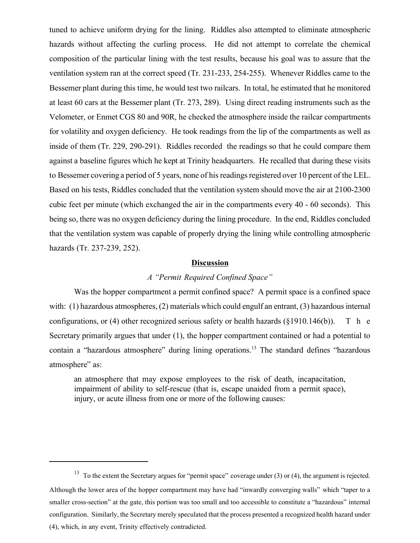tuned to achieve uniform drying for the lining. Riddles also attempted to eliminate atmospheric hazards without affecting the curling process. He did not attempt to correlate the chemical composition of the particular lining with the test results, because his goal was to assure that the ventilation system ran at the correct speed (Tr. 231-233, 254-255). Whenever Riddles came to the Bessemer plant during this time, he would test two railcars. In total, he estimated that he monitored at least 60 cars at the Bessemer plant (Tr. 273, 289). Using direct reading instruments such as the Velometer, or Enmet CGS 80 and 90R, he checked the atmosphere inside the railcar compartments for volatility and oxygen deficiency. He took readings from the lip of the compartments as well as inside of them (Tr. 229, 290-291). Riddles recorded the readings so that he could compare them against a baseline figures which he kept at Trinity headquarters. He recalled that during these visits to Bessemer covering a period of 5 years, none of his readings registered over 10 percent of the LEL. Based on his tests, Riddles concluded that the ventilation system should move the air at 2100-2300 cubic feet per minute (which exchanged the air in the compartments every 40 - 60 seconds). This being so, there was no oxygen deficiency during the lining procedure. In the end, Riddles concluded that the ventilation system was capable of properly drying the lining while controlling atmospheric hazards (Tr. 237-239, 252).

#### **Discussion**

### *A "Permit Required Confined Space"*

Was the hopper compartment a permit confined space? A permit space is a confined space with: (1) hazardous atmospheres, (2) materials which could engulf an entrant, (3) hazardous internal configurations, or (4) other recognized serious safety or health hazards ( $\{\$1910.146(b)\}$ ). T h e Secretary primarily argues that under (1), the hopper compartment contained or had a potential to contain a "hazardous atmosphere" during lining operations.<sup>13</sup> The standard defines "hazardous atmosphere" as:

an atmosphere that may expose employees to the risk of death, incapacitation, impairment of ability to self-rescue (that is, escape unaided from a permit space), injury, or acute illness from one or more of the following causes:

<sup>&</sup>lt;sup>13</sup> To the extent the Secretary argues for "permit space" coverage under (3) or (4), the argument is rejected. Although the lower area of the hopper compartment may have had "inwardly converging walls" which "taper to a smaller cross-section" at the gate, this portion was too small and too accessible to constitute a "hazardous" internal configuration. Similarly, the Secretary merely speculated that the process presented a recognized health hazard under (4), which, in any event, Trinity effectively contradicted.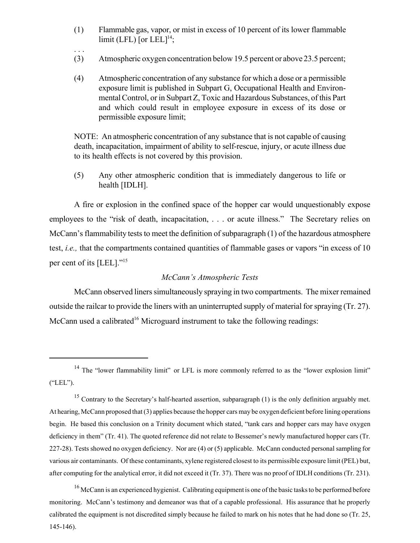- (1) Flammable gas, vapor, or mist in excess of 10 percent of its lower flammable limit (LFL) [or  $LEL]$ <sup>14</sup>;
- (3) Atmospheric oxygen concentration below 19.5 percent or above 23.5 percent;

. . .

(4) Atmospheric concentration of any substance for which a dose or a permissible exposure limit is published in Subpart G, Occupational Health and Environmental Control, or in Subpart Z, Toxic and Hazardous Substances, of this Part and which could result in employee exposure in excess of its dose or permissible exposure limit;

NOTE: An atmospheric concentration of any substance that is not capable of causing death, incapacitation, impairment of ability to self-rescue, injury, or acute illness due to its health effects is not covered by this provision.

(5) Any other atmospheric condition that is immediately dangerous to life or health [IDLH].

A fire or explosion in the confined space of the hopper car would unquestionably expose employees to the "risk of death, incapacitation, . . . or acute illness." The Secretary relies on McCann's flammability tests to meet the definition of subparagraph (1) of the hazardous atmosphere test, *i.e.,* that the compartments contained quantities of flammable gases or vapors "in excess of 10 per cent of its [LEL]."<sup>15</sup>

### *McCann's Atmospheric Tests*

McCann observed liners simultaneously spraying in two compartments. The mixer remained outside the railcar to provide the liners with an uninterrupted supply of material for spraying (Tr. 27). McCann used a calibrated<sup>16</sup> Microguard instrument to take the following readings:

<sup>&</sup>lt;sup>14</sup> The "lower flammability limit" or LFL is more commonly referred to as the "lower explosion limit" ("LEL").

<sup>&</sup>lt;sup>15</sup> Contrary to the Secretary's half-hearted assertion, subparagraph (1) is the only definition arguably met. At hearing, McCann proposed that (3) applies because the hopper cars may be oxygen deficient before lining operations begin. He based this conclusion on a Trinity document which stated, "tank cars and hopper cars may have oxygen deficiency in them" (Tr. 41). The quoted reference did not relate to Bessemer's newly manufactured hopper cars (Tr. 227-28). Tests showed no oxygen deficiency. Nor are (4) or (5) applicable. McCann conducted personal sampling for various air contaminants. Of these contaminants, xylene registered closest to its permissible exposure limit (PEL) but, after computing for the analytical error, it did not exceed it (Tr. 37). There was no proof of IDLH conditions (Tr. 231).

<sup>&</sup>lt;sup>16</sup> McCann is an experienced hygienist. Calibrating equipment is one of the basic tasks to be performed before monitoring. McCann's testimony and demeanor was that of a capable professional. His assurance that he properly calibrated the equipment is not discredited simply because he failed to mark on his notes that he had done so (Tr. 25, 145-146).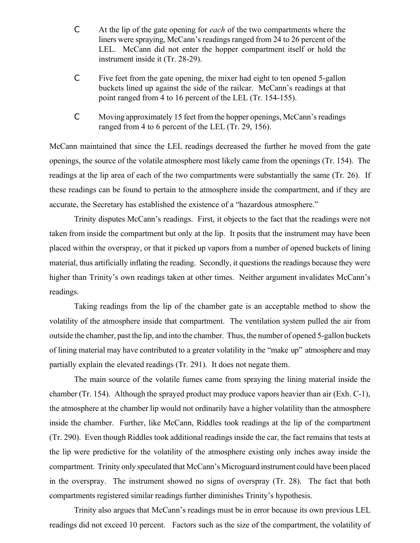- C At the lip of the gate opening for *each* of the two compartments where the liners were spraying, McCann's readings ranged from 24 to 26 percent of the LEL. McCann did not enter the hopper compartment itself or hold the instrument inside it (Tr. 28-29).
- C Five feet from the gate opening, the mixer had eight to ten opened 5-gallon buckets lined up against the side of the railcar. McCann's readings at that point ranged from 4 to 16 percent of the LEL (Tr. 154-155).
- C Moving approximately 15 feet from the hopper openings, McCann's readings ranged from 4 to 6 percent of the LEL (Tr. 29, 156).

McCann maintained that since the LEL readings decreased the further he moved from the gate openings, the source of the volatile atmosphere most likely came from the openings (Tr. 154). The readings at the lip area of each of the two compartments were substantially the same (Tr. 26). If these readings can be found to pertain to the atmosphere inside the compartment, and if they are accurate, the Secretary has established the existence of a "hazardous atmosphere."

Trinity disputes McCann's readings. First, it objects to the fact that the readings were not taken from inside the compartment but only at the lip. It posits that the instrument may have been placed within the overspray, or that it picked up vapors from a number of opened buckets of lining material, thus artificially inflating the reading. Secondly, it questions the readings because they were higher than Trinity's own readings taken at other times. Neither argument invalidates McCann's readings.

Taking readings from the lip of the chamber gate is an acceptable method to show the volatility of the atmosphere inside that compartment. The ventilation system pulled the air from outside the chamber, past the lip, and into the chamber. Thus, the number of opened 5-gallon buckets of lining material may have contributed to a greater volatility in the "make up" atmosphere and may partially explain the elevated readings (Tr. 291). It does not negate them.

The main source of the volatile fumes came from spraying the lining material inside the chamber (Tr. 154). Although the sprayed product may produce vapors heavier than air (Exh. C-1), the atmosphere at the chamber lip would not ordinarily have a higher volatility than the atmosphere inside the chamber. Further, like McCann, Riddles took readings at the lip of the compartment (Tr. 290). Even though Riddles took additional readings inside the car, the fact remains that tests at the lip were predictive for the volatility of the atmosphere existing only inches away inside the compartment. Trinity only speculated that McCann's Microguard instrument could have been placed in the overspray. The instrument showed no signs of overspray (Tr. 28). The fact that both compartments registered similar readings further diminishes Trinity's hypothesis.

Trinity also argues that McCann's readings must be in error because its own previous LEL readings did not exceed 10 percent. Factors such as the size of the compartment, the volatility of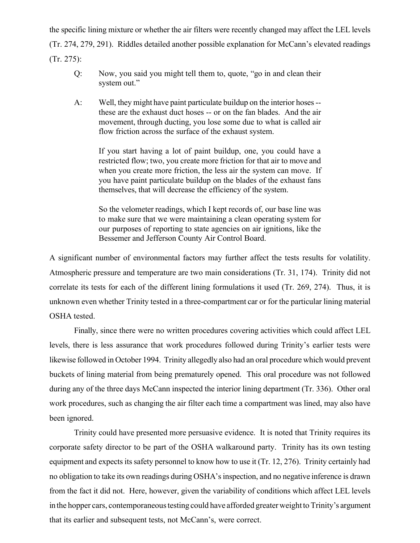the specific lining mixture or whether the air filters were recently changed may affect the LEL levels (Tr. 274, 279, 291). Riddles detailed another possible explanation for McCann's elevated readings (Tr. 275):

- Q: Now, you said you might tell them to, quote, "go in and clean their system out."
- A: Well, they might have paint particulate buildup on the interior hoses these are the exhaust duct hoses -- or on the fan blades. And the air movement, through ducting, you lose some due to what is called air flow friction across the surface of the exhaust system.

If you start having a lot of paint buildup, one, you could have a restricted flow; two, you create more friction for that air to move and when you create more friction, the less air the system can move. If you have paint particulate buildup on the blades of the exhaust fans themselves, that will decrease the efficiency of the system.

So the velometer readings, which I kept records of, our base line was to make sure that we were maintaining a clean operating system for our purposes of reporting to state agencies on air ignitions, like the Bessemer and Jefferson County Air Control Board.

A significant number of environmental factors may further affect the tests results for volatility. Atmospheric pressure and temperature are two main considerations (Tr. 31, 174). Trinity did not correlate its tests for each of the different lining formulations it used (Tr. 269, 274). Thus, it is unknown even whether Trinity tested in a three-compartment car or for the particular lining material OSHA tested.

Finally, since there were no written procedures covering activities which could affect LEL levels, there is less assurance that work procedures followed during Trinity's earlier tests were likewise followed in October 1994. Trinity allegedly also had an oral procedure which would prevent buckets of lining material from being prematurely opened. This oral procedure was not followed during any of the three days McCann inspected the interior lining department (Tr. 336). Other oral work procedures, such as changing the air filter each time a compartment was lined, may also have been ignored.

Trinity could have presented more persuasive evidence. It is noted that Trinity requires its corporate safety director to be part of the OSHA walkaround party. Trinity has its own testing equipment and expects its safety personnel to know how to use it (Tr. 12, 276). Trinity certainly had no obligation to take its own readings during OSHA's inspection, and no negative inference is drawn from the fact it did not. Here, however, given the variability of conditions which affect LEL levels in the hopper cars, contemporaneous testing could have afforded greater weight to Trinity's argument that its earlier and subsequent tests, not McCann's, were correct.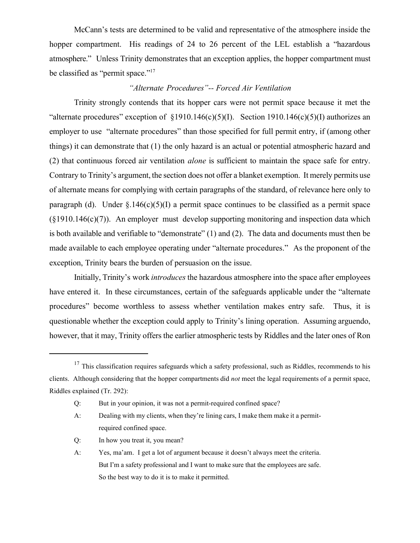McCann's tests are determined to be valid and representative of the atmosphere inside the hopper compartment. His readings of 24 to 26 percent of the LEL establish a "hazardous atmosphere." Unless Trinity demonstrates that an exception applies, the hopper compartment must be classified as "permit space."<sup>17</sup>

# *"Alternate Procedures"-- Forced Air Ventilation*

Trinity strongly contends that its hopper cars were not permit space because it met the "alternate procedures" exception of  $\S1910.146(c)(5)(I)$ . Section 1910.146(c)(5)(I) authorizes an employer to use "alternate procedures" than those specified for full permit entry, if (among other things) it can demonstrate that (1) the only hazard is an actual or potential atmospheric hazard and (2) that continuous forced air ventilation *alone* is sufficient to maintain the space safe for entry. Contrary to Trinity's argument, the section does not offer a blanket exemption. It merely permits use of alternate means for complying with certain paragraphs of the standard, of relevance here only to paragraph (d). Under  $\S.146(c)(5)(I)$  a permit space continues to be classified as a permit space  $(\S1910.146(c)(7))$ . An employer must develop supporting monitoring and inspection data which is both available and verifiable to "demonstrate" (1) and (2). The data and documents must then be made available to each employee operating under "alternate procedures." As the proponent of the exception, Trinity bears the burden of persuasion on the issue.

Initially, Trinity's work *introduces* the hazardous atmosphere into the space after employees have entered it. In these circumstances, certain of the safeguards applicable under the "alternate procedures" become worthless to assess whether ventilation makes entry safe. Thus, it is questionable whether the exception could apply to Trinity's lining operation. Assuming arguendo, however, that it may, Trinity offers the earlier atmospheric tests by Riddles and the later ones of Ron

 $17$  This classification requires safeguards which a safety professional, such as Riddles, recommends to his clients. Although considering that the hopper compartments did *not* meet the legal requirements of a permit space, Riddles explained (Tr. 292):

Q: But in your opinion, it was not a permit-required confined space?

A: Dealing with my clients, when they're lining cars, I make them make it a permitrequired confined space.

Q: In how you treat it, you mean?

A: Yes, ma'am. I get a lot of argument because it doesn't always meet the criteria. But I'm a safety professional and I want to make sure that the employees are safe. So the best way to do it is to make it permitted.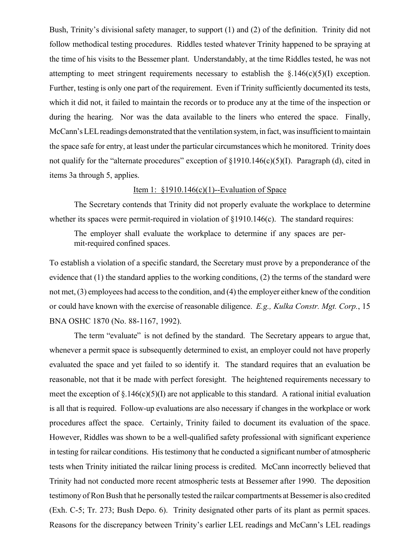Bush, Trinity's divisional safety manager, to support (1) and (2) of the definition. Trinity did not follow methodical testing procedures. Riddles tested whatever Trinity happened to be spraying at the time of his visits to the Bessemer plant. Understandably, at the time Riddles tested, he was not attempting to meet stringent requirements necessary to establish the  $\S.146(c)(5)(I)$  exception. Further, testing is only one part of the requirement. Even if Trinity sufficiently documented its tests, which it did not, it failed to maintain the records or to produce any at the time of the inspection or during the hearing. Nor was the data available to the liners who entered the space. Finally, McCann's LEL readings demonstrated that the ventilation system, in fact, was insufficient to maintain the space safe for entry, at least under the particular circumstances which he monitored. Trinity does not qualify for the "alternate procedures" exception of  $\S1910.146(c)(5)(I)$ . Paragraph (d), cited in items 3a through 5, applies.

#### Item 1:  $$1910.146(c)(1)$ -Evaluation of Space

The Secretary contends that Trinity did not properly evaluate the workplace to determine whether its spaces were permit-required in violation of  $\S1910.146(c)$ . The standard requires:

The employer shall evaluate the workplace to determine if any spaces are permit-required confined spaces.

To establish a violation of a specific standard, the Secretary must prove by a preponderance of the evidence that (1) the standard applies to the working conditions, (2) the terms of the standard were not met, (3) employees had access to the condition, and (4) the employer either knew of the condition or could have known with the exercise of reasonable diligence. *E.g., Kulka Constr. Mgt. Corp.*, 15 BNA OSHC 1870 (No. 88-1167, 1992).

The term "evaluate" is not defined by the standard. The Secretary appears to argue that, whenever a permit space is subsequently determined to exist, an employer could not have properly evaluated the space and yet failed to so identify it. The standard requires that an evaluation be reasonable, not that it be made with perfect foresight. The heightened requirements necessary to meet the exception of  $\S.146(c)(5)(I)$  are not applicable to this standard. A rational initial evaluation is all that is required. Follow-up evaluations are also necessary if changes in the workplace or work procedures affect the space. Certainly, Trinity failed to document its evaluation of the space. However, Riddles was shown to be a well-qualified safety professional with significant experience in testing for railcar conditions. His testimony that he conducted a significant number of atmospheric tests when Trinity initiated the railcar lining process is credited. McCann incorrectly believed that Trinity had not conducted more recent atmospheric tests at Bessemer after 1990. The deposition testimony of Ron Bush that he personally tested the railcar compartments at Bessemer is also credited (Exh. C-5; Tr. 273; Bush Depo. 6). Trinity designated other parts of its plant as permit spaces. Reasons for the discrepancy between Trinity's earlier LEL readings and McCann's LEL readings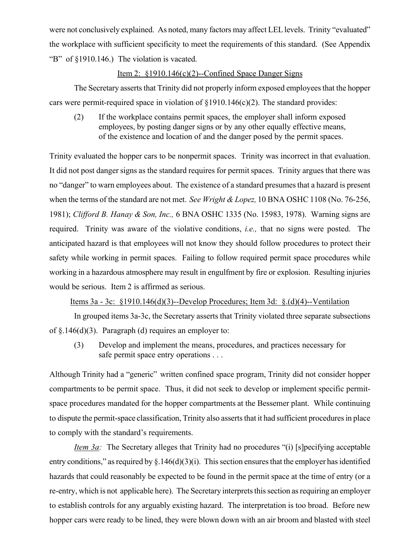were not conclusively explained. As noted, many factors may affect LEL levels. Trinity "evaluated" the workplace with sufficient specificity to meet the requirements of this standard. (See Appendix "B" of §1910.146.) The violation is vacated.

# Item 2: §1910.146(c)(2)--Confined Space Danger Signs

The Secretary asserts that Trinity did not properly inform exposed employees that the hopper cars were permit-required space in violation of  $\{1910.146(c)(2)\}$ . The standard provides:

(2) If the workplace contains permit spaces, the employer shall inform exposed employees, by posting danger signs or by any other equally effective means, of the existence and location of and the danger posed by the permit spaces.

Trinity evaluated the hopper cars to be nonpermit spaces. Trinity was incorrect in that evaluation. It did not post danger signs as the standard requires for permit spaces. Trinity argues that there was no "danger" to warn employees about. The existence of a standard presumes that a hazard is present when the terms of the standard are not met. *See Wright & Lopez,* 10 BNA OSHC 1108 (No. 76-256, 1981); *Clifford B. Hanay & Son, Inc.,* 6 BNA OSHC 1335 (No. 15983, 1978). Warning signs are required. Trinity was aware of the violative conditions, *i.e.,* that no signs were posted. The anticipated hazard is that employees will not know they should follow procedures to protect their safety while working in permit spaces. Failing to follow required permit space procedures while working in a hazardous atmosphere may result in engulfment by fire or explosion. Resulting injuries would be serious. Item 2 is affirmed as serious.

Items 3a - 3c: §1910.146(d)(3)--Develop Procedures; Item 3d: §.(d)(4)--Ventilation

In grouped items 3a-3c, the Secretary asserts that Trinity violated three separate subsections of  $\S.146(d)(3)$ . Paragraph (d) requires an employer to:

(3) Develop and implement the means, procedures, and practices necessary for safe permit space entry operations . . .

Although Trinity had a "generic" written confined space program, Trinity did not consider hopper compartments to be permit space. Thus, it did not seek to develop or implement specific permitspace procedures mandated for the hopper compartments at the Bessemer plant. While continuing to dispute the permit-space classification, Trinity also asserts that it had sufficient procedures in place to comply with the standard's requirements.

*Item 3a:* The Secretary alleges that Trinity had no procedures "(i) [s]pecifying acceptable entry conditions," as required by  $\S.146(d)(3)(i)$ . This section ensures that the employer has identified hazards that could reasonably be expected to be found in the permit space at the time of entry (or a re-entry, which is not applicable here). The Secretary interprets this section as requiring an employer to establish controls for any arguably existing hazard. The interpretation is too broad. Before new hopper cars were ready to be lined, they were blown down with an air broom and blasted with steel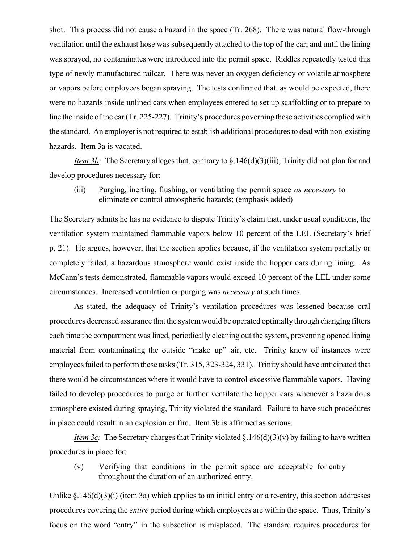shot. This process did not cause a hazard in the space (Tr. 268). There was natural flow-through ventilation until the exhaust hose was subsequently attached to the top of the car; and until the lining was sprayed, no contaminates were introduced into the permit space. Riddles repeatedly tested this type of newly manufactured railcar. There was never an oxygen deficiency or volatile atmosphere or vapors before employees began spraying. The tests confirmed that, as would be expected, there were no hazards inside unlined cars when employees entered to set up scaffolding or to prepare to line the inside of the car (Tr. 225-227). Trinity's procedures governing these activities complied with the standard. An employer is not required to establish additional procedures to deal with non-existing hazards. Item 3a is vacated.

*Item 3b:* The Secretary alleges that, contrary to §.146(d)(3)(iii), Trinity did not plan for and develop procedures necessary for:

(iii) Purging, inerting, flushing, or ventilating the permit space *as necessary* to eliminate or control atmospheric hazards; (emphasis added)

The Secretary admits he has no evidence to dispute Trinity's claim that, under usual conditions, the ventilation system maintained flammable vapors below 10 percent of the LEL (Secretary's brief p. 21). He argues, however, that the section applies because, if the ventilation system partially or completely failed, a hazardous atmosphere would exist inside the hopper cars during lining. As McCann's tests demonstrated, flammable vapors would exceed 10 percent of the LEL under some circumstances. Increased ventilation or purging was *necessary* at such times.

As stated, the adequacy of Trinity's ventilation procedures was lessened because oral procedures decreased assurance that the system would be operated optimally through changing filters each time the compartment was lined, periodically cleaning out the system, preventing opened lining material from contaminating the outside "make up" air, etc. Trinity knew of instances were employees failed to perform these tasks (Tr. 315, 323-324, 331). Trinity should have anticipated that there would be circumstances where it would have to control excessive flammable vapors. Having failed to develop procedures to purge or further ventilate the hopper cars whenever a hazardous atmosphere existed during spraying, Trinity violated the standard. Failure to have such procedures in place could result in an explosion or fire. Item 3b is affirmed as serious.

*Item 3c*: The Secretary charges that Trinity violated §.146(d)(3)(v) by failing to have written procedures in place for:

(v) Verifying that conditions in the permit space are acceptable for entry throughout the duration of an authorized entry.

Unlike  $\S$ . 146(d)(3)(i) (item 3a) which applies to an initial entry or a re-entry, this section addresses procedures covering the *entire* period during which employees are within the space. Thus, Trinity's focus on the word "entry" in the subsection is misplaced. The standard requires procedures for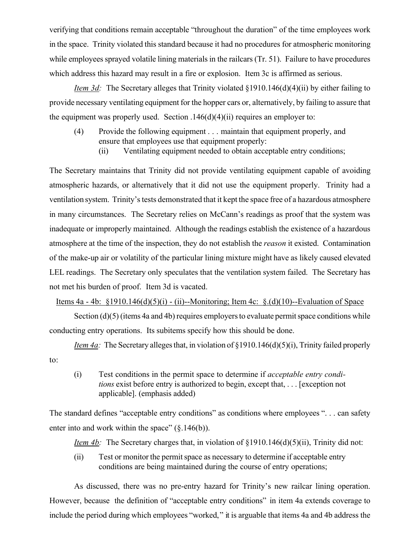verifying that conditions remain acceptable "throughout the duration" of the time employees work in the space. Trinity violated this standard because it had no procedures for atmospheric monitoring while employees sprayed volatile lining materials in the railcars (Tr. 51). Failure to have procedures which address this hazard may result in a fire or explosion. Item 3c is affirmed as serious.

*Item 3d:* The Secretary alleges that Trinity violated §1910.146(d)(4)(ii) by either failing to provide necessary ventilating equipment for the hopper cars or, alternatively, by failing to assure that the equipment was properly used. Section  $.146(d)(4)(ii)$  requires an employer to:

- (4) Provide the following equipment . . . maintain that equipment properly, and ensure that employees use that equipment properly:
	- (ii) Ventilating equipment needed to obtain acceptable entry conditions;

The Secretary maintains that Trinity did not provide ventilating equipment capable of avoiding atmospheric hazards, or alternatively that it did not use the equipment properly. Trinity had a ventilation system. Trinity's tests demonstrated that it kept the space free of a hazardous atmosphere in many circumstances. The Secretary relies on McCann's readings as proof that the system was inadequate or improperly maintained. Although the readings establish the existence of a hazardous atmosphere at the time of the inspection, they do not establish the *reason* it existed. Contamination of the make-up air or volatility of the particular lining mixture might have as likely caused elevated LEL readings. The Secretary only speculates that the ventilation system failed. The Secretary has not met his burden of proof. Item 3d is vacated.

Items 4a - 4b: §1910.146(d)(5)(i) - (ii)--Monitoring; Item 4c: §.(d)(10)--Evaluation of Space

Section (d)(5) (items 4a and 4b) requires employers to evaluate permit space conditions while conducting entry operations. Its subitems specify how this should be done.

*Item 4a:* The Secretary alleges that, in violation of §1910.146(d)(5)(i), Trinity failed properly to:

(i) Test conditions in the permit space to determine if *acceptable entry conditions* exist before entry is authorized to begin, except that, . . . [exception not applicable]. (emphasis added)

The standard defines "acceptable entry conditions" as conditions where employees ". . . can safety enter into and work within the space"  $(\S.146(b))$ .

*Item 4b:* The Secretary charges that, in violation of §1910.146(d)(5)(ii), Trinity did not:

(ii) Test or monitor the permit space as necessary to determine if acceptable entry conditions are being maintained during the course of entry operations;

As discussed, there was no pre-entry hazard for Trinity's new railcar lining operation. However, because the definition of "acceptable entry conditions" in item 4a extends coverage to include the period during which employees "worked," it is arguable that items 4a and 4b address the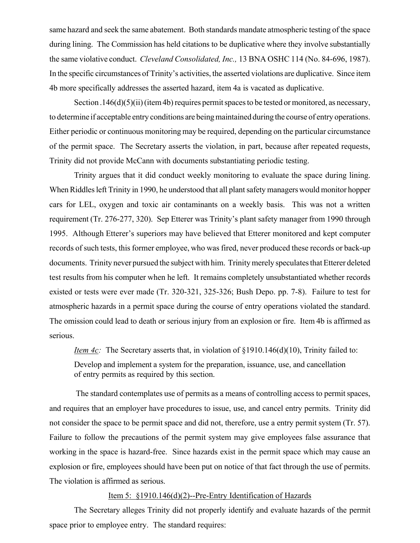same hazard and seek the same abatement. Both standards mandate atmospheric testing of the space during lining. The Commission has held citations to be duplicative where they involve substantially the same violative conduct. *Cleveland Consolidated, Inc.,* 13 BNA OSHC 114 (No. 84-696, 1987). In the specific circumstances of Trinity's activities, the asserted violations are duplicative. Since item 4b more specifically addresses the asserted hazard, item 4a is vacated as duplicative.

Section .146(d)(5)(ii) (item 4b) requires permit spaces to be tested or monitored, as necessary, to determine if acceptable entry conditions are being maintained during the course of entry operations. Either periodic or continuous monitoring may be required, depending on the particular circumstance of the permit space. The Secretary asserts the violation, in part, because after repeated requests, Trinity did not provide McCann with documents substantiating periodic testing.

Trinity argues that it did conduct weekly monitoring to evaluate the space during lining. When Riddles left Trinity in 1990, he understood that all plant safety managers would monitor hopper cars for LEL, oxygen and toxic air contaminants on a weekly basis. This was not a written requirement (Tr. 276-277, 320). Sep Etterer was Trinity's plant safety manager from 1990 through 1995. Although Etterer's superiors may have believed that Etterer monitored and kept computer records of such tests, this former employee, who was fired, never produced these records or back-up documents. Trinity never pursued the subject with him. Trinity merely speculates that Etterer deleted test results from his computer when he left. It remains completely unsubstantiated whether records existed or tests were ever made (Tr. 320-321, 325-326; Bush Depo. pp. 7-8). Failure to test for atmospheric hazards in a permit space during the course of entry operations violated the standard. The omission could lead to death or serious injury from an explosion or fire. Item 4b is affirmed as serious.

*Item 4c*: The Secretary asserts that, in violation of §1910.146(d)(10), Trinity failed to: Develop and implement a system for the preparation, issuance, use, and cancellation of entry permits as required by this section.

 The standard contemplates use of permits as a means of controlling access to permit spaces, and requires that an employer have procedures to issue, use, and cancel entry permits. Trinity did not consider the space to be permit space and did not, therefore, use a entry permit system (Tr. 57). Failure to follow the precautions of the permit system may give employees false assurance that working in the space is hazard-free. Since hazards exist in the permit space which may cause an explosion or fire, employees should have been put on notice of that fact through the use of permits. The violation is affirmed as serious.

# Item 5: §1910.146(d)(2)--Pre-Entry Identification of Hazards

The Secretary alleges Trinity did not properly identify and evaluate hazards of the permit space prior to employee entry. The standard requires: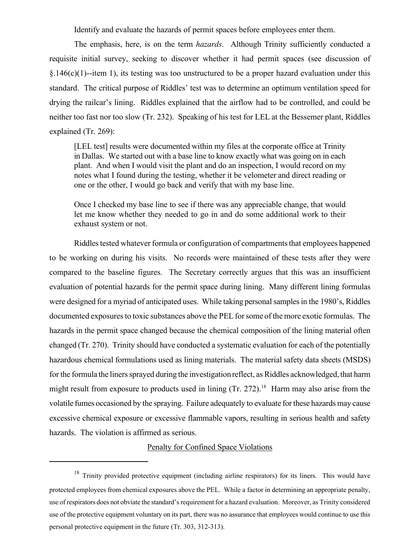Identify and evaluate the hazards of permit spaces before employees enter them.

The emphasis, here, is on the term *hazards*. Although Trinity sufficiently conducted a requisite initial survey, seeking to discover whether it had permit spaces (see discussion of  $§.146(c)(1)$ --item 1), its testing was too unstructured to be a proper hazard evaluation under this standard. The critical purpose of Riddles' test was to determine an optimum ventilation speed for drying the railcar's lining. Riddles explained that the airflow had to be controlled, and could be neither too fast nor too slow (Tr. 232). Speaking of his test for LEL at the Bessemer plant, Riddles explained (Tr. 269):

[LEL test] results were documented within my files at the corporate office at Trinity in Dallas. We started out with a base line to know exactly what was going on in each plant. And when I would visit the plant and do an inspection, I would record on my notes what I found during the testing, whether it be velometer and direct reading or one or the other, I would go back and verify that with my base line.

Once I checked my base line to see if there was any appreciable change, that would let me know whether they needed to go in and do some additional work to their exhaust system or not.

Riddles tested whatever formula or configuration of compartments that employees happened to be working on during his visits. No records were maintained of these tests after they were compared to the baseline figures. The Secretary correctly argues that this was an insufficient evaluation of potential hazards for the permit space during lining. Many different lining formulas were designed for a myriad of anticipated uses. While taking personal samples in the 1980's, Riddles documented exposures to toxic substances above the PEL for some of the more exotic formulas. The hazards in the permit space changed because the chemical composition of the lining material often changed (Tr. 270). Trinity should have conducted a systematic evaluation for each of the potentially hazardous chemical formulations used as lining materials. The material safety data sheets (MSDS) for the formula the liners sprayed during the investigation reflect, as Riddles acknowledged, that harm might result from exposure to products used in lining  $(Tr. 272)^{18}$  Harm may also arise from the volatile fumes occasioned by the spraying. Failure adequately to evaluate for these hazards may cause excessive chemical exposure or excessive flammable vapors, resulting in serious health and safety hazards. The violation is affirmed as serious.

### Penalty for Confined Space Violations

 $18$  Trinity provided protective equipment (including airline respirators) for its liners. This would have protected employees from chemical exposures above the PEL. While a factor in determining an appropriate penalty, use of respirators does not obviate the standard's requirement for a hazard evaluation. Moreover, as Trinity considered use of the protective equipment voluntary on its part, there was no assurance that employees would continue to use this personal protective equipment in the future (Tr. 303, 312-313).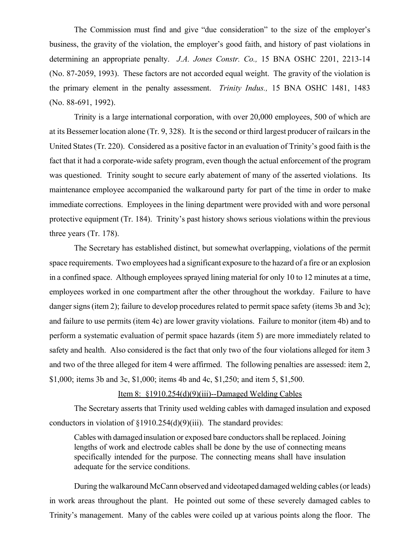The Commission must find and give "due consideration" to the size of the employer's business, the gravity of the violation, the employer's good faith, and history of past violations in determining an appropriate penalty. *J.A. Jones Constr. Co.,* 15 BNA OSHC 2201, 2213-14 (No. 87-2059, 1993). These factors are not accorded equal weight. The gravity of the violation is the primary element in the penalty assessment. *Trinity Indus.,* 15 BNA OSHC 1481, 1483 (No. 88-691, 1992).

Trinity is a large international corporation, with over 20,000 employees, 500 of which are at its Bessemer location alone (Tr. 9, 328). It is the second or third largest producer of railcars in the United States (Tr. 220). Considered as a positive factor in an evaluation of Trinity's good faith is the fact that it had a corporate-wide safety program, even though the actual enforcement of the program was questioned. Trinity sought to secure early abatement of many of the asserted violations. Its maintenance employee accompanied the walkaround party for part of the time in order to make immediate corrections. Employees in the lining department were provided with and wore personal protective equipment (Tr. 184). Trinity's past history shows serious violations within the previous three years (Tr. 178).

The Secretary has established distinct, but somewhat overlapping, violations of the permit space requirements. Two employees had a significant exposure to the hazard of a fire or an explosion in a confined space. Although employees sprayed lining material for only 10 to 12 minutes at a time, employees worked in one compartment after the other throughout the workday. Failure to have danger signs (item 2); failure to develop procedures related to permit space safety (items 3b and 3c); and failure to use permits (item 4c) are lower gravity violations. Failure to monitor (item 4b) and to perform a systematic evaluation of permit space hazards (item 5) are more immediately related to safety and health. Also considered is the fact that only two of the four violations alleged for item 3 and two of the three alleged for item 4 were affirmed. The following penalties are assessed: item 2, \$1,000; items 3b and 3c, \$1,000; items 4b and 4c, \$1,250; and item 5, \$1,500.

# Item 8:  $\frac{1910.254(d)(9)(iii)}{-}$ Damaged Welding Cables

The Secretary asserts that Trinity used welding cables with damaged insulation and exposed conductors in violation of §1910.254(d)(9)(iii). The standard provides:

Cables with damaged insulation or exposed bare conductors shall be replaced. Joining lengths of work and electrode cables shall be done by the use of connecting means specifically intended for the purpose. The connecting means shall have insulation adequate for the service conditions.

During the walkaround McCann observed and videotaped damaged welding cables (or leads) in work areas throughout the plant. He pointed out some of these severely damaged cables to Trinity's management. Many of the cables were coiled up at various points along the floor. The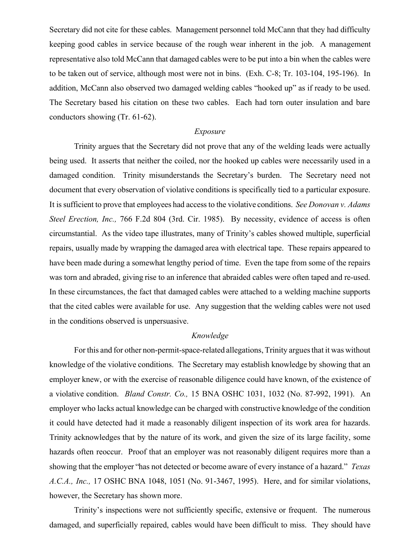Secretary did not cite for these cables. Management personnel told McCann that they had difficulty keeping good cables in service because of the rough wear inherent in the job. A management representative also told McCann that damaged cables were to be put into a bin when the cables were to be taken out of service, although most were not in bins. (Exh. C-8; Tr. 103-104, 195-196). In addition, McCann also observed two damaged welding cables "hooked up" as if ready to be used. The Secretary based his citation on these two cables. Each had torn outer insulation and bare conductors showing (Tr. 61-62).

### *Exposure*

Trinity argues that the Secretary did not prove that any of the welding leads were actually being used. It asserts that neither the coiled, nor the hooked up cables were necessarily used in a damaged condition. Trinity misunderstands the Secretary's burden. The Secretary need not document that every observation of violative conditions is specifically tied to a particular exposure. It is sufficient to prove that employees had access to the violative conditions. *See Donovan v. Adams Steel Erection, Inc.,* 766 F.2d 804 (3rd. Cir. 1985). By necessity, evidence of access is often circumstantial. As the video tape illustrates, many of Trinity's cables showed multiple, superficial repairs, usually made by wrapping the damaged area with electrical tape. These repairs appeared to have been made during a somewhat lengthy period of time. Even the tape from some of the repairs was torn and abraded, giving rise to an inference that abraided cables were often taped and re-used. In these circumstances, the fact that damaged cables were attached to a welding machine supports that the cited cables were available for use. Any suggestion that the welding cables were not used in the conditions observed is unpersuasive.

# *Knowledge*

For this and for other non-permit-space-related allegations, Trinity argues that it was without knowledge of the violative conditions. The Secretary may establish knowledge by showing that an employer knew, or with the exercise of reasonable diligence could have known, of the existence of a violative condition. *Bland Constr. Co.,* 15 BNA OSHC 1031, 1032 (No. 87-992, 1991). An employer who lacks actual knowledge can be charged with constructive knowledge of the condition it could have detected had it made a reasonably diligent inspection of its work area for hazards. Trinity acknowledges that by the nature of its work, and given the size of its large facility, some hazards often reoccur. Proof that an employer was not reasonably diligent requires more than a showing that the employer "has not detected or become aware of every instance of a hazard." *Texas A.C.A., Inc.,* 17 OSHC BNA 1048, 1051 (No. 91-3467, 1995). Here, and for similar violations, however, the Secretary has shown more.

Trinity's inspections were not sufficiently specific, extensive or frequent. The numerous damaged, and superficially repaired, cables would have been difficult to miss. They should have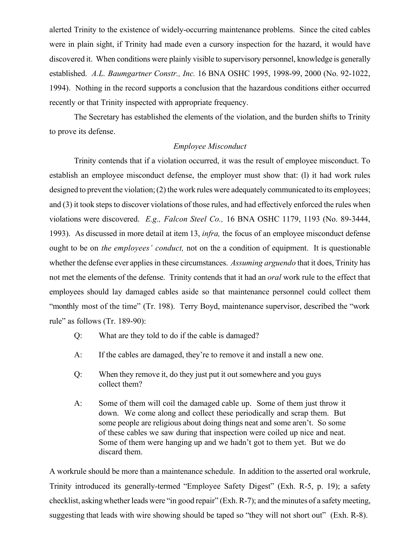alerted Trinity to the existence of widely-occurring maintenance problems. Since the cited cables were in plain sight, if Trinity had made even a cursory inspection for the hazard, it would have discovered it. When conditions were plainly visible to supervisory personnel, knowledge is generally established. *A.L. Baumgartner Constr., Inc.* 16 BNA OSHC 1995, 1998-99, 2000 (No. 92-1022, 1994). Nothing in the record supports a conclusion that the hazardous conditions either occurred recently or that Trinity inspected with appropriate frequency.

The Secretary has established the elements of the violation, and the burden shifts to Trinity to prove its defense.

### *Employee Misconduct*

Trinity contends that if a violation occurred, it was the result of employee misconduct. To establish an employee misconduct defense, the employer must show that: (l) it had work rules designed to prevent the violation; (2) the work rules were adequately communicated to its employees; and (3) it took steps to discover violations of those rules, and had effectively enforced the rules when violations were discovered. *E.g., Falcon Steel Co.,* 16 BNA OSHC 1179, 1193 (No. 89-3444, 1993). As discussed in more detail at item 13, *infra,* the focus of an employee misconduct defense ought to be on *the employees' conduct,* not on the a condition of equipment. It is questionable whether the defense ever applies in these circumstances. *Assuming arguendo* that it does, Trinity has not met the elements of the defense. Trinity contends that it had an *oral* work rule to the effect that employees should lay damaged cables aside so that maintenance personnel could collect them "monthly most of the time" (Tr. 198). Terry Boyd, maintenance supervisor, described the "work rule" as follows (Tr. 189-90):

- Q: What are they told to do if the cable is damaged?
- A: If the cables are damaged, they're to remove it and install a new one.
- Q: When they remove it, do they just put it out somewhere and you guys collect them?
- A: Some of them will coil the damaged cable up. Some of them just throw it down. We come along and collect these periodically and scrap them. But some people are religious about doing things neat and some aren't. So some of these cables we saw during that inspection were coiled up nice and neat. Some of them were hanging up and we hadn't got to them yet. But we do discard them.

A workrule should be more than a maintenance schedule. In addition to the asserted oral workrule, Trinity introduced its generally-termed "Employee Safety Digest" (Exh. R-5, p. 19); a safety checklist, asking whether leads were "in good repair" (Exh. R-7); and the minutes of a safety meeting, suggesting that leads with wire showing should be taped so "they will not short out" (Exh. R-8).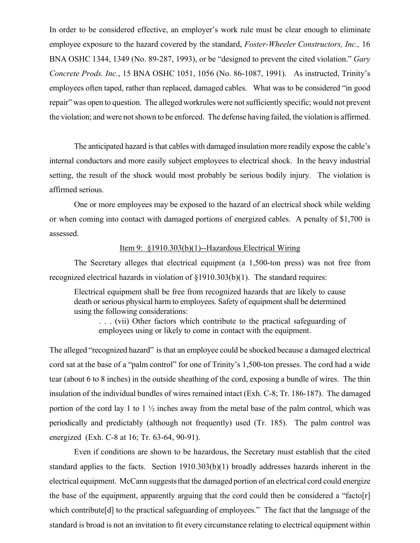In order to be considered effective, an employer's work rule must be clear enough to eliminate employee exposure to the hazard covered by the standard, *Foster-Wheeler Constructors, Inc.,* 16 BNA OSHC 1344, 1349 (No. 89-287, 1993), or be "designed to prevent the cited violation." *Gary Concrete Prods. Inc.*, 15 BNA OSHC 1051, 1056 (No. 86-1087, 1991). As instructed, Trinity's employees often taped, rather than replaced, damaged cables. What was to be considered "in good repair" was open to question. The alleged workrules were not sufficiently specific; would not prevent the violation; and were not shown to be enforced. The defense having failed, the violation is affirmed.

The anticipated hazard is that cables with damaged insulation more readily expose the cable's internal conductors and more easily subject employees to electrical shock. In the heavy industrial setting, the result of the shock would most probably be serious bodily injury. The violation is affirmed serious.

One or more employees may be exposed to the hazard of an electrical shock while welding or when coming into contact with damaged portions of energized cables. A penalty of \$1,700 is assessed.

#### Item 9: §1910.303(b)(1)--Hazardous Electrical Wiring

The Secretary alleges that electrical equipment (a 1,500-ton press) was not free from recognized electrical hazards in violation of §1910.303(b)(1). The standard requires:

Electrical equipment shall be free from recognized hazards that are likely to cause death or serious physical harm to employees. Safety of equipment shall be determined using the following considerations:

. . . (vii) Other factors which contribute to the practical safeguarding of employees using or likely to come in contact with the equipment.

The alleged "recognized hazard" is that an employee could be shocked because a damaged electrical cord sat at the base of a "palm control" for one of Trinity's 1,500-ton presses. The cord had a wide tear (about 6 to 8 inches) in the outside sheathing of the cord, exposing a bundle of wires. The thin insulation of the individual bundles of wires remained intact (Exh. C-8; Tr. 186-187). The damaged portion of the cord lay 1 to 1 ½ inches away from the metal base of the palm control, which was periodically and predictably (although not frequently) used (Tr. 185). The palm control was energized (Exh. C-8 at 16; Tr. 63-64, 90-91).

Even if conditions are shown to be hazardous, the Secretary must establish that the cited standard applies to the facts. Section 1910.303(b)(1) broadly addresses hazards inherent in the electrical equipment. McCann suggests that the damaged portion of an electrical cord could energize the base of the equipment, apparently arguing that the cord could then be considered a "facto[r] which contribute<sup>[d]</sup> to the practical safeguarding of employees." The fact that the language of the standard is broad is not an invitation to fit every circumstance relating to electrical equipment within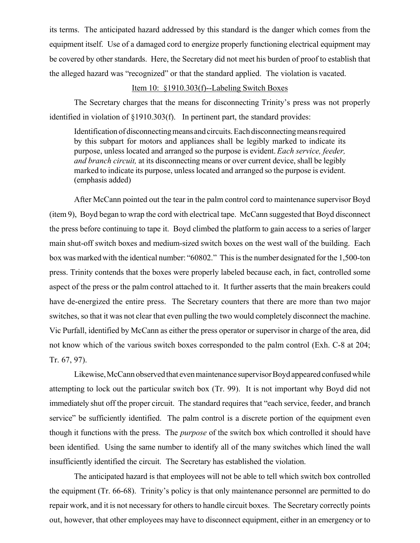its terms. The anticipated hazard addressed by this standard is the danger which comes from the equipment itself. Use of a damaged cord to energize properly functioning electrical equipment may be covered by other standards. Here, the Secretary did not meet his burden of proof to establish that the alleged hazard was "recognized" or that the standard applied. The violation is vacated.

# Item 10: §1910.303(f)--Labeling Switch Boxes

The Secretary charges that the means for disconnecting Trinity's press was not properly identified in violation of §1910.303(f). In pertinent part, the standard provides:

Identification of disconnecting means and circuits. Each disconnecting means required by this subpart for motors and appliances shall be legibly marked to indicate its purpose, unless located and arranged so the purpose is evident. *Each service, feeder, and branch circuit,* at its disconnecting means or over current device, shall be legibly marked to indicate its purpose, unless located and arranged so the purpose is evident. (emphasis added)

After McCann pointed out the tear in the palm control cord to maintenance supervisor Boyd (item 9), Boyd began to wrap the cord with electrical tape. McCann suggested that Boyd disconnect the press before continuing to tape it. Boyd climbed the platform to gain access to a series of larger main shut-off switch boxes and medium-sized switch boxes on the west wall of the building. Each box was marked with the identical number: "60802." This is the number designated for the 1,500-ton press. Trinity contends that the boxes were properly labeled because each, in fact, controlled some aspect of the press or the palm control attached to it. It further asserts that the main breakers could have de-energized the entire press. The Secretary counters that there are more than two major switches, so that it was not clear that even pulling the two would completely disconnect the machine. Vic Purfall, identified by McCann as either the press operator or supervisor in charge of the area, did not know which of the various switch boxes corresponded to the palm control (Exh. C-8 at 204; Tr. 67, 97).

Likewise, McCann observed that even maintenance supervisor Boyd appeared confused while attempting to lock out the particular switch box (Tr. 99). It is not important why Boyd did not immediately shut off the proper circuit. The standard requires that "each service, feeder, and branch service" be sufficiently identified. The palm control is a discrete portion of the equipment even though it functions with the press. The *purpose* of the switch box which controlled it should have been identified. Using the same number to identify all of the many switches which lined the wall insufficiently identified the circuit. The Secretary has established the violation.

The anticipated hazard is that employees will not be able to tell which switch box controlled the equipment (Tr. 66-68). Trinity's policy is that only maintenance personnel are permitted to do repair work, and it is not necessary for others to handle circuit boxes. The Secretary correctly points out, however, that other employees may have to disconnect equipment, either in an emergency or to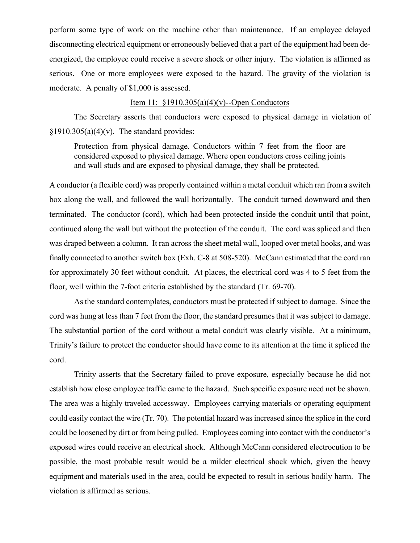perform some type of work on the machine other than maintenance. If an employee delayed disconnecting electrical equipment or erroneously believed that a part of the equipment had been deenergized, the employee could receive a severe shock or other injury. The violation is affirmed as serious. One or more employees were exposed to the hazard. The gravity of the violation is moderate. A penalty of \$1,000 is assessed.

# Item 11: §1910.305(a)(4)(v)--Open Conductors

The Secretary asserts that conductors were exposed to physical damage in violation of  $§1910.305(a)(4)(v)$ . The standard provides:

Protection from physical damage. Conductors within 7 feet from the floor are considered exposed to physical damage. Where open conductors cross ceiling joints and wall studs and are exposed to physical damage, they shall be protected.

A conductor (a flexible cord) was properly contained within a metal conduit which ran from a switch box along the wall, and followed the wall horizontally. The conduit turned downward and then terminated. The conductor (cord), which had been protected inside the conduit until that point, continued along the wall but without the protection of the conduit. The cord was spliced and then was draped between a column. It ran across the sheet metal wall, looped over metal hooks, and was finally connected to another switch box (Exh. C-8 at 508-520). McCann estimated that the cord ran for approximately 30 feet without conduit. At places, the electrical cord was 4 to 5 feet from the floor, well within the 7-foot criteria established by the standard (Tr. 69-70).

As the standard contemplates, conductors must be protected if subject to damage. Since the cord was hung at less than 7 feet from the floor, the standard presumes that it was subject to damage. The substantial portion of the cord without a metal conduit was clearly visible. At a minimum, Trinity's failure to protect the conductor should have come to its attention at the time it spliced the cord.

Trinity asserts that the Secretary failed to prove exposure, especially because he did not establish how close employee traffic came to the hazard. Such specific exposure need not be shown. The area was a highly traveled accessway. Employees carrying materials or operating equipment could easily contact the wire (Tr. 70). The potential hazard was increased since the splice in the cord could be loosened by dirt or from being pulled. Employees coming into contact with the conductor's exposed wires could receive an electrical shock. Although McCann considered electrocution to be possible, the most probable result would be a milder electrical shock which, given the heavy equipment and materials used in the area, could be expected to result in serious bodily harm. The violation is affirmed as serious.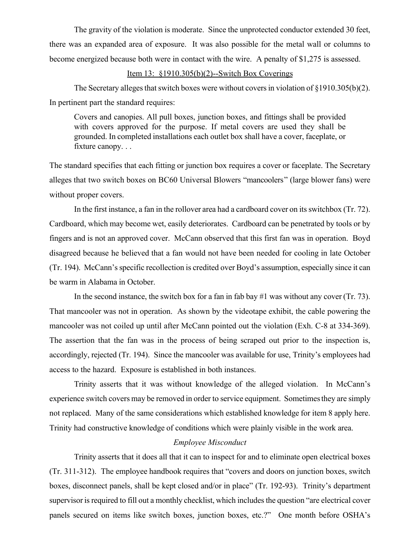The gravity of the violation is moderate. Since the unprotected conductor extended 30 feet, there was an expanded area of exposure. It was also possible for the metal wall or columns to become energized because both were in contact with the wire. A penalty of \$1,275 is assessed.

# Item 13: §1910.305(b)(2)--Switch Box Coverings

The Secretary alleges that switch boxes were without covers in violation of  $\S 1910.305(b)(2)$ . In pertinent part the standard requires:

Covers and canopies. All pull boxes, junction boxes, and fittings shall be provided with covers approved for the purpose. If metal covers are used they shall be grounded. In completed installations each outlet box shall have a cover, faceplate, or fixture canopy. . .

The standard specifies that each fitting or junction box requires a cover or faceplate. The Secretary alleges that two switch boxes on BC60 Universal Blowers "mancoolers" (large blower fans) were without proper covers.

In the first instance, a fan in the rollover area had a cardboard cover on its switchbox (Tr. 72). Cardboard, which may become wet, easily deteriorates. Cardboard can be penetrated by tools or by fingers and is not an approved cover. McCann observed that this first fan was in operation. Boyd disagreed because he believed that a fan would not have been needed for cooling in late October (Tr. 194). McCann's specific recollection is credited over Boyd's assumption, especially since it can be warm in Alabama in October.

In the second instance, the switch box for a fan in fab bay  $\#1$  was without any cover (Tr. 73). That mancooler was not in operation. As shown by the videotape exhibit, the cable powering the mancooler was not coiled up until after McCann pointed out the violation (Exh. C-8 at 334-369). The assertion that the fan was in the process of being scraped out prior to the inspection is, accordingly, rejected (Tr. 194). Since the mancooler was available for use, Trinity's employees had access to the hazard. Exposure is established in both instances.

Trinity asserts that it was without knowledge of the alleged violation. In McCann's experience switch covers may be removed in order to service equipment. Sometimes they are simply not replaced. Many of the same considerations which established knowledge for item 8 apply here. Trinity had constructive knowledge of conditions which were plainly visible in the work area.

## *Employee Misconduct*

Trinity asserts that it does all that it can to inspect for and to eliminate open electrical boxes (Tr. 311-312). The employee handbook requires that "covers and doors on junction boxes, switch boxes, disconnect panels, shall be kept closed and/or in place" (Tr. 192-93). Trinity's department supervisor is required to fill out a monthly checklist, which includes the question "are electrical cover panels secured on items like switch boxes, junction boxes, etc.?" One month before OSHA's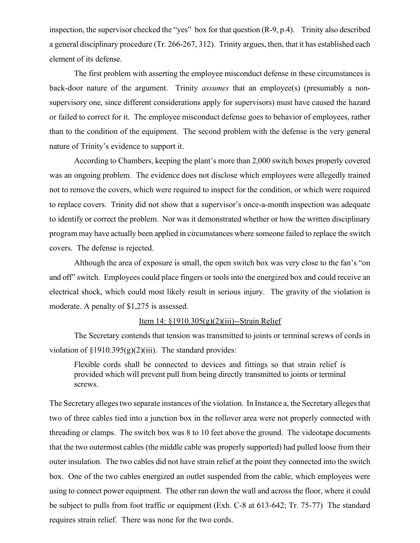inspection, the supervisor checked the "yes" box for that question (R-9, p.4). Trinity also described a general disciplinary procedure (Tr. 266-267, 312). Trinity argues, then, that it has established each element of its defense.

The first problem with asserting the employee misconduct defense in these circumstances is back-door nature of the argument. Trinity *assumes* that an employee(s) (presumably a nonsupervisory one, since different considerations apply for supervisors) must have caused the hazard or failed to correct for it. The employee misconduct defense goes to behavior of employees, rather than to the condition of the equipment. The second problem with the defense is the very general nature of Trinity's evidence to support it.

According to Chambers, keeping the plant's more than 2,000 switch boxes properly covered was an ongoing problem. The evidence does not disclose which employees were allegedly trained not to remove the covers, which were required to inspect for the condition, or which were required to replace covers. Trinity did not show that a supervisor's once-a-month inspection was adequate to identify or correct the problem. Nor was it demonstrated whether or how the written disciplinary program may have actually been applied in circumstances where someone failed to replace the switch covers. The defense is rejected.

Although the area of exposure is small, the open switch box was very close to the fan's "on and off" switch. Employees could place fingers or tools into the energized box and could receive an electrical shock, which could most likely result in serious injury. The gravity of the violation is moderate. A penalty of \$1,275 is assessed.

### Item 14: §1910.305(g)(2)(iii)--Strain Relief

The Secretary contends that tension was transmitted to joints or terminal screws of cords in violation of  $\S 1910.395(g)(2)(iii)$ . The standard provides:

Flexible cords shall be connected to devices and fittings so that strain relief is provided which will prevent pull from being directly transmitted to joints or terminal screws.

The Secretary alleges two separate instances of the violation. In Instance a, the Secretary alleges that two of three cables tied into a junction box in the rollover area were not properly connected with threading or clamps. The switch box was 8 to 10 feet above the ground. The videotape documents that the two outermost cables (the middle cable was properly supported) had pulled loose from their outer insulation. The two cables did not have strain relief at the point they connected into the switch box. One of the two cables energized an outlet suspended from the cable, which employees were using to connect power equipment. The other ran down the wall and across the floor, where it could be subject to pulls from foot traffic or equipment (Exh. C-8 at 613-642; Tr. 75-77) The standard requires strain relief. There was none for the two cords.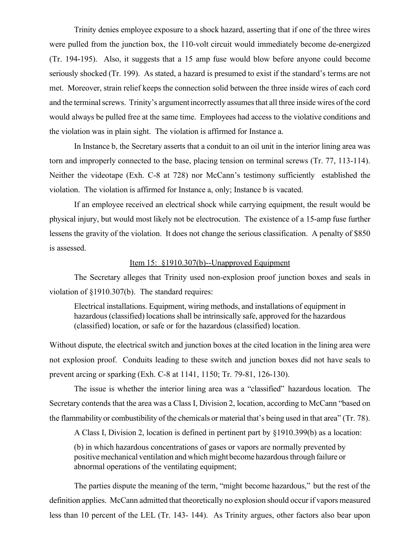Trinity denies employee exposure to a shock hazard, asserting that if one of the three wires were pulled from the junction box, the 110-volt circuit would immediately become de-energized (Tr. 194-195). Also, it suggests that a 15 amp fuse would blow before anyone could become seriously shocked (Tr. 199). As stated, a hazard is presumed to exist if the standard's terms are not met. Moreover, strain relief keeps the connection solid between the three inside wires of each cord and the terminal screws. Trinity's argument incorrectly assumes that all three inside wires of the cord would always be pulled free at the same time. Employees had access to the violative conditions and the violation was in plain sight. The violation is affirmed for Instance a.

In Instance b, the Secretary asserts that a conduit to an oil unit in the interior lining area was torn and improperly connected to the base, placing tension on terminal screws (Tr. 77, 113-114). Neither the videotape (Exh. C-8 at 728) nor McCann's testimony sufficiently established the violation. The violation is affirmed for Instance a, only; Instance b is vacated.

If an employee received an electrical shock while carrying equipment, the result would be physical injury, but would most likely not be electrocution. The existence of a 15-amp fuse further lessens the gravity of the violation. It does not change the serious classification. A penalty of \$850 is assessed.

#### Item 15: §1910.307(b)--Unapproved Equipment

The Secretary alleges that Trinity used non-explosion proof junction boxes and seals in violation of §1910.307(b). The standard requires:

Electrical installations. Equipment, wiring methods, and installations of equipment in hazardous (classified) locations shall be intrinsically safe, approved for the hazardous (classified) location, or safe or for the hazardous (classified) location.

Without dispute, the electrical switch and junction boxes at the cited location in the lining area were not explosion proof. Conduits leading to these switch and junction boxes did not have seals to prevent arcing or sparking (Exh. C-8 at 1141, 1150; Tr. 79-81, 126-130).

The issue is whether the interior lining area was a "classified" hazardous location. The Secretary contends that the area was a Class I, Division 2, location, according to McCann "based on the flammability or combustibility of the chemicals or material that's being used in that area" (Tr. 78).

A Class I, Division 2, location is defined in pertinent part by §1910.399(b) as a location:

(b) in which hazardous concentrations of gases or vapors are normally prevented by positive mechanical ventilation and which might become hazardous through failure or abnormal operations of the ventilating equipment;

The parties dispute the meaning of the term, "might become hazardous," but the rest of the definition applies. McCann admitted that theoretically no explosion should occur if vapors measured less than 10 percent of the LEL (Tr. 143- 144). As Trinity argues, other factors also bear upon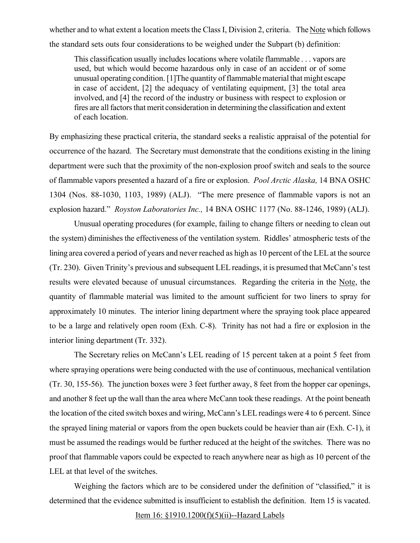whether and to what extent a location meets the Class I, Division 2, criteria. The Note which follows the standard sets outs four considerations to be weighed under the Subpart (b) definition:

This classification usually includes locations where volatile flammable . . . vapors are used, but which would become hazardous only in case of an accident or of some unusual operating condition. [1]The quantity of flammable material that might escape in case of accident, [2] the adequacy of ventilating equipment, [3] the total area involved, and [4] the record of the industry or business with respect to explosion or fires are all factors that merit consideration in determining the classification and extent of each location.

By emphasizing these practical criteria, the standard seeks a realistic appraisal of the potential for occurrence of the hazard. The Secretary must demonstrate that the conditions existing in the lining department were such that the proximity of the non-explosion proof switch and seals to the source of flammable vapors presented a hazard of a fire or explosion. *Pool Arctic Alaska,* 14 BNA OSHC 1304 (Nos. 88-1030, 1103, 1989) (ALJ). "The mere presence of flammable vapors is not an explosion hazard." *Royston Laboratories Inc.,* 14 BNA OSHC 1177 (No. 88-1246, 1989) (ALJ).

Unusual operating procedures (for example, failing to change filters or needing to clean out the system) diminishes the effectiveness of the ventilation system. Riddles' atmospheric tests of the lining area covered a period of years and never reached as high as 10 percent of the LEL at the source (Tr. 230). Given Trinity's previous and subsequent LEL readings, it is presumed that McCann's test results were elevated because of unusual circumstances. Regarding the criteria in the Note, the quantity of flammable material was limited to the amount sufficient for two liners to spray for approximately 10 minutes. The interior lining department where the spraying took place appeared to be a large and relatively open room (Exh. C-8). Trinity has not had a fire or explosion in the interior lining department (Tr. 332).

The Secretary relies on McCann's LEL reading of 15 percent taken at a point 5 feet from where spraying operations were being conducted with the use of continuous, mechanical ventilation (Tr. 30, 155-56). The junction boxes were 3 feet further away, 8 feet from the hopper car openings, and another 8 feet up the wall than the area where McCann took these readings. At the point beneath the location of the cited switch boxes and wiring, McCann's LEL readings were 4 to 6 percent. Since the sprayed lining material or vapors from the open buckets could be heavier than air (Exh. C-1), it must be assumed the readings would be further reduced at the height of the switches. There was no proof that flammable vapors could be expected to reach anywhere near as high as 10 percent of the LEL at that level of the switches.

Weighing the factors which are to be considered under the definition of "classified," it is determined that the evidence submitted is insufficient to establish the definition. Item 15 is vacated.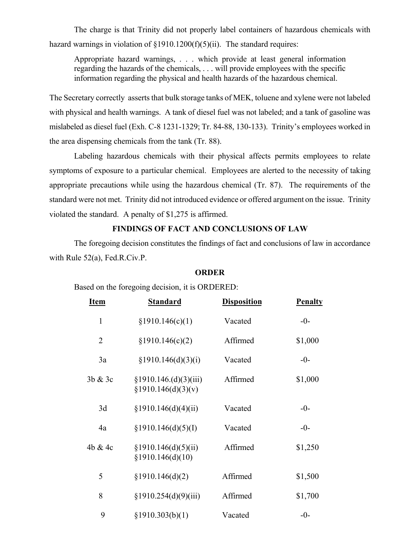The charge is that Trinity did not properly label containers of hazardous chemicals with hazard warnings in violation of  $\S1910.1200(f)(5)(ii)$ . The standard requires:

Appropriate hazard warnings, . . . which provide at least general information regarding the hazards of the chemicals, . . . will provide employees with the specific information regarding the physical and health hazards of the hazardous chemical.

The Secretary correctly asserts that bulk storage tanks of MEK, toluene and xylene were not labeled with physical and health warnings. A tank of diesel fuel was not labeled; and a tank of gasoline was mislabeled as diesel fuel (Exh. C-8 1231-1329; Tr. 84-88, 130-133). Trinity's employees worked in the area dispensing chemicals from the tank (Tr. 88).

Labeling hazardous chemicals with their physical affects permits employees to relate symptoms of exposure to a particular chemical. Employees are alerted to the necessity of taking appropriate precautions while using the hazardous chemical (Tr. 87). The requirements of the standard were not met. Trinity did not introduced evidence or offered argument on the issue. Trinity violated the standard. A penalty of \$1,275 is affirmed.

# **FINDINGS OF FACT AND CONCLUSIONS OF LAW**

The foregoing decision constitutes the findings of fact and conclusions of law in accordance with Rule 52(a), Fed.R.Civ.P.

#### **ORDER**

# Based on the foregoing decision, it is ORDERED:

| <b>Item</b>    | <b>Standard</b>                             | <b>Disposition</b> | <b>Penalty</b> |
|----------------|---------------------------------------------|--------------------|----------------|
| $\mathbf{1}$   | §1910.146(c)(1)                             | Vacated            | $-0-$          |
| $\overline{2}$ | §1910.146(c)(2)                             | Affirmed           | \$1,000        |
| 3a             | §1910.146(d)(3)(i)                          | Vacated            | $-0-$          |
| 3b & 3c        | §1910.146.(d)(3)(iii)<br>§1910.146(d)(3)(v) | Affirmed           | \$1,000        |
| 3d             | \$1910.146(d)(4)(ii)                        | Vacated            | $-0-$          |
| 4a             | \$1910.146(d)(5)(I)                         | Vacated            | $-0-$          |
| 4b & 4c        | \$1910.146(d)(5)(ii)<br>§1910.146(d)(10)    | Affirmed           | \$1,250        |
| 5              | §1910.146(d)(2)                             | Affirmed           | \$1,500        |
| 8              | §1910.254(d)(9)(iii)                        | Affirmed           | \$1,700        |
| 9              | §1910.303(b)(1)                             | Vacated            | $-0-$          |